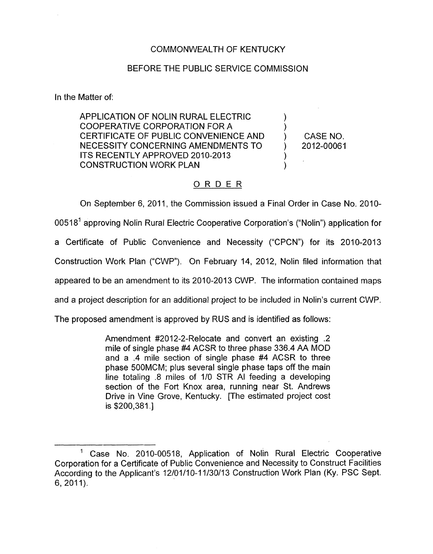## COMMONWEALTH OF KENTUCKY

## BEFORE THE PUBLIC SERVICE COMMISSION

In the Matter of:

APPLICATION OF NOLIN RURAL ELECTRIC  $\bigcup_{n=0}^{\infty}$ COOPERATIVE CORPORATION FOR A  $\left( \begin{array}{cc} 0 & 0 & 0 \\ 0 & 0 & 0 \\ 0 & 0 & 0 \end{array} \right)$ CERTIFICATE OF PUBLIC CONVENIENCE AND (CASE NO.<br>NECESSITY CONCERNING AMENDMENTS TO (2012-00061) NECESSITY CONCERNING AMENDMENTS TO ITS RECENTLY APPROVED 2010-2013<br>CONSTRUCTION WORK PLAN

## ORDER

On September 6, 2011, the Commission issued a Final Order in Case No. 2010-00518<sup>1</sup> approving Nolin Rural Electric Cooperative Corporation's ("Nolin") application for a Certificate of Public Convenience and Necessity ("CPCN") for its 2010-2013 Construction Work Plan ("CWP"). On February 14, 2012, Nolin filed information that appeared to be an amendment to its 2010-2013 CWP. The information contained maps and a project description for an additional project to be included in Nolin's current CWP. The proposed amendment is approved by RUS and is identified as follows:

Amendment #2012-2-Relocate and convert an existing .2 mile of single phase #4 ACSR to three phase 336.4 AA MOD and a .4 mile section of single phase #4 ACSR to three phase 500MCM; plus several single phase taps off the main line totaling .8 miles of 110 STR AI feeding a developing section of the Fort Knox area, running near St. Andrews Drive in Vine Grove, Kentucky. [The estimated project cost is \$200,381 .]

<sup>&</sup>lt;sup>1</sup> Case No. 2010-00518, Application of Nolin Rural Electric Cooperative Corporation for a Certificate of Public Convenience and Necessity to Construct Facilities According to the Applicant's 12/01/10-11/30/13 Construction Work Plan (Ky. PSC Sept. 6, 2011).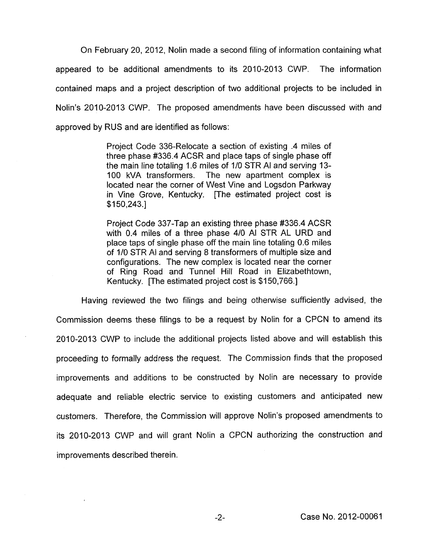On February 20, 2012, Nolin made a second filing of information containing what appeared to be additional amendments to its 2010-2013 CWP. The information contained maps and a project description of two additional projects to be included in Nolin's 2010-2013 CWP. The proposed amendments have been discussed with and approved by RUS and are identified as follows:

> Project Code 336-Relocate a section of existing .4 miles of three phase #336.4 ACSR and place taps of single phase off the main line totaling 1.6 miles of 1/0 STR AI and serving 13- 100 kVA transformers. The new apartment complex is located near the corner of West Vine and Logsdon Parkway in Vine Grove, Kentucky. [The estimated project cost is  $$150,243.1$

> Project Code 337-Tap an existing three phase #336.4 ACSR with 0.4 miles of a three phase 4/0 AI STR AL URD and place taps of single phase off the main line totaling 0.6 miles of 1/0 STR AI and serving 8 transformers of multiple size and configurations. The new complex is located near the corner of Ring Road and Tunnel Hill Road in Elizabethtown, Kentucky. [The estimated project cost is \$150,766.]

Having reviewed the two filings and being otherwise sufficiently advised, the Commission deems these filings to be a request by Nolin for a CPCN to amend its 2010-2013 CWP to include the additional projects listed above and will establish this proceeding to formally address the request. The Commission finds that the proposed improvements and additions to be constructed by Nolin are necessary to provide adequate and reliable electric service to existing customers and anticipated new customers. Therefore, the Commission will approve Nolin's proposed amendments to its 2010-2013 CWP and will grant Nolin a CPCN authorizing the construction and improvements described therein.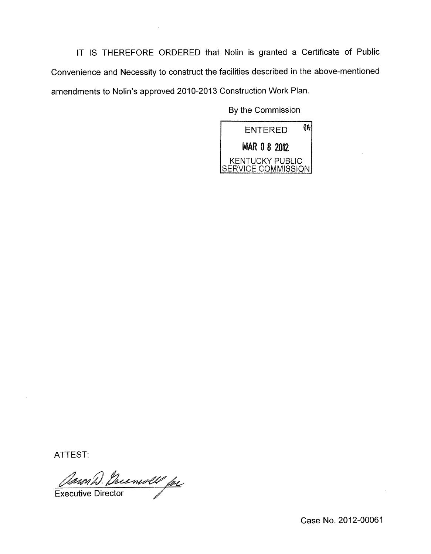IT **IS** THEREFORE ORDERED that Nolin is granted a Certificate of Public Convenience and Necessity to construct the facilities described in the above-mentioned amendments to Nolin's approved 2010-2013 Construction Work Plan.

 $\sim$   $\sim$ 

By the Commission



ATTEST:

Clean D. Prienvoll fr

Case No. 2012-00061